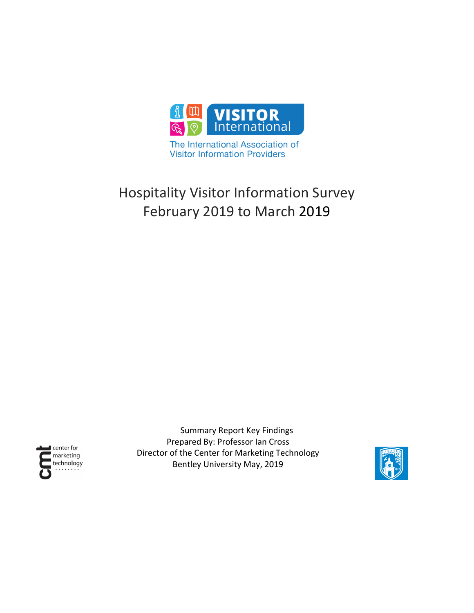

The International Association of **Visitor Information Providers** 

# Hospitality Visitor Information Survey February 2019 to March 2019



Summary Report Key Findings Prepared By: Professor Ian Cross Director of the Center for Marketing Technology Bentley University May, 2019

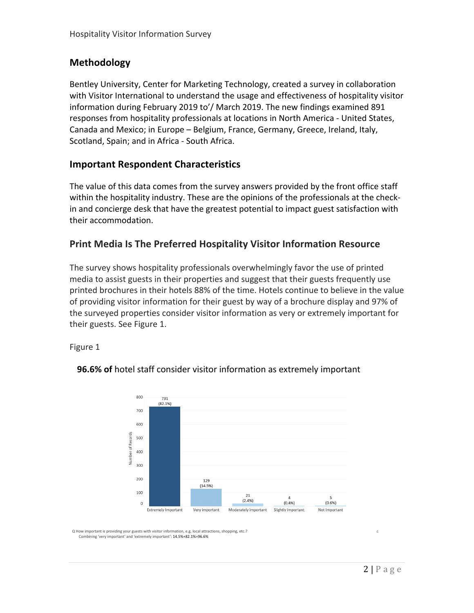## **Methodology**

Bentley University, Center for Marketing Technology, created a survey in collaboration with Visitor International to understand the usage and effectiveness of hospitality visitor information during February 2019 to'/ March 2019. The new findings examined 891 responses from hospitality professionals at locations in North America - United States, Canada and Mexico; in Europe – Belgium, France, Germany, Greece, Ireland, Italy, Scotland, Spain; and in Africa - South Africa.

## **Important Respondent Characteristics**

The value of this data comes from the survey answers provided by the front office staff within the hospitality industry. These are the opinions of the professionals at the checkin and concierge desk that have the greatest potential to impact guest satisfaction with their accommodation.

## **Print Media Is The Preferred Hospitality Visitor Information Resource**

The survey shows hospitality professionals overwhelmingly favor the use of printed media to assist guests in their properties and suggest that their guests frequently use printed brochures in their hotels 88% of the time. Hotels continue to believe in the value of providing visitor information for their guest by way of a brochure display and 97% of the surveyed properties consider visitor information as very or extremely important for their guests. See Figure 1.

Figure 1



#### **96.6% of** hotel staff consider visitor information as extremely important

Q How important is providing your guests with visitor information, e.g. local attractions, shopping, etc.? Combining 'very important' and 'extremely important': 14.5%+82.1%=96.6%

4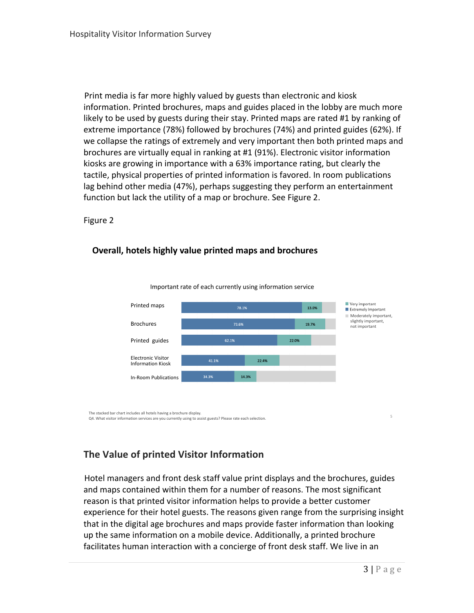Print media is far more highly valued by guests than electronic and kiosk information. Printed brochures, maps and guides placed in the lobby are much more likely to be used by guests during their stay. Printed maps are rated #1 by ranking of extreme importance (78%) followed by brochures (74%) and printed guides (62%). If we collapse the ratings of extremely and very important then both printed maps and brochures are virtually equal in ranking at #1 (91%). Electronic visitor information kiosks are growing in importance with a 63% importance rating, but clearly the tactile, physical properties of printed information is favored. In room publications lag behind other media (47%), perhaps suggesting they perform an entertainment function but lack the utility of a map or brochure. See Figure 2.

Figure 2

#### **Overall, hotels highly value printed maps and brochures**



Important rate of each currently using information service

The stacked bar chart includes all hotels having a brochure display.<br>Q4. What visitor information services are you currently using to assist guests? Please rate each selection

# **The Value of printed Visitor Information**

Hotel managers and front desk staff value print displays and the brochures, guides and maps contained within them for a number of reasons. The most significant reason is that printed visitor information helps to provide a better customer experience for their hotel guests. The reasons given range from the surprising insight that in the digital age brochures and maps provide faster information than looking up the same information on a mobile device. Additionally, a printed brochure facilitates human interaction with a concierge of front desk staff. We live in an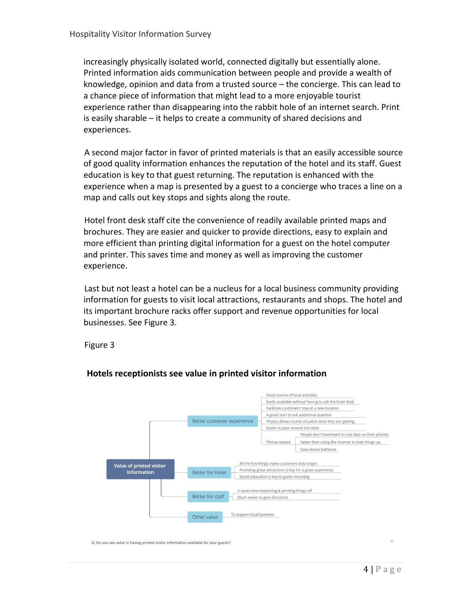increasingly physically isolated world, connected digitally but essentially alone. Printed information aids communication between people and provide a wealth of knowledge, opinion and data from a trusted source – the concierge. This can lead to a chance piece of information that might lead to a more enjoyable tourist experience rather than disappearing into the rabbit hole of an internet search. Print is easily sharable – it helps to create a community of shared decisions and experiences.

A second major factor in favor of printed materials is that an easily accessible source of good quality information enhances the reputation of the hotel and its staff. Guest education is key to that guest returning. The reputation is enhanced with the experience when a map is presented by a guest to a concierge who traces a line on a map and calls out key stops and sights along the route.

Hotel front desk staff cite the convenience of readily available printed maps and brochures. They are easier and quicker to provide directions, easy to explain and more efficient than printing digital information for a guest on the hotel computer and printer. This saves time and money as well as improving the customer experience.

Last but not least a hotel can be a nucleus for a local business community providing information for guests to visit local attractions, restaurants and shops. The hotel and its important brochure racks offer support and revenue opportunities for local businesses. See Figure 3.

Figure 3



#### **Hotels receptionists see value in printed visitor information**

Q: Do you see value in having printed visitor information available for your guests?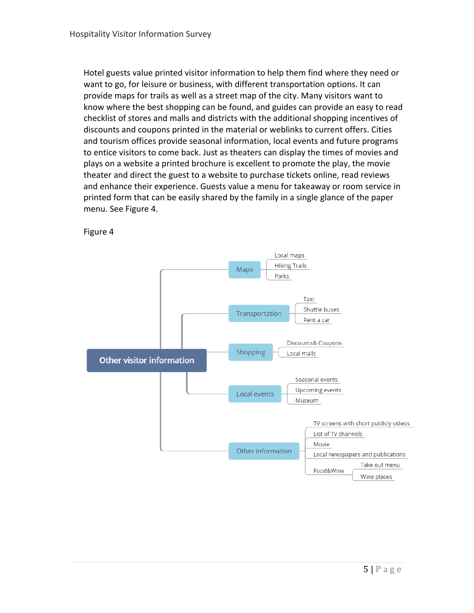Hotel guests value printed visitor information to help them find where they need or want to go, for leisure or business, with different transportation options. It can provide maps for trails as well as a street map of the city. Many visitors want to know where the best shopping can be found, and guides can provide an easy to read checklist of stores and malls and districts with the additional shopping incentives of discounts and coupons printed in the material or weblinks to current offers. Cities and tourism offices provide seasonal information, local events and future programs to entice visitors to come back. Just as theaters can display the times of movies and plays on a website a printed brochure is excellent to promote the play, the movie theater and direct the guest to a website to purchase tickets online, read reviews and enhance their experience. Guests value a menu for takeaway or room service in printed form that can be easily shared by the family in a single glance of the paper menu. See Figure 4.